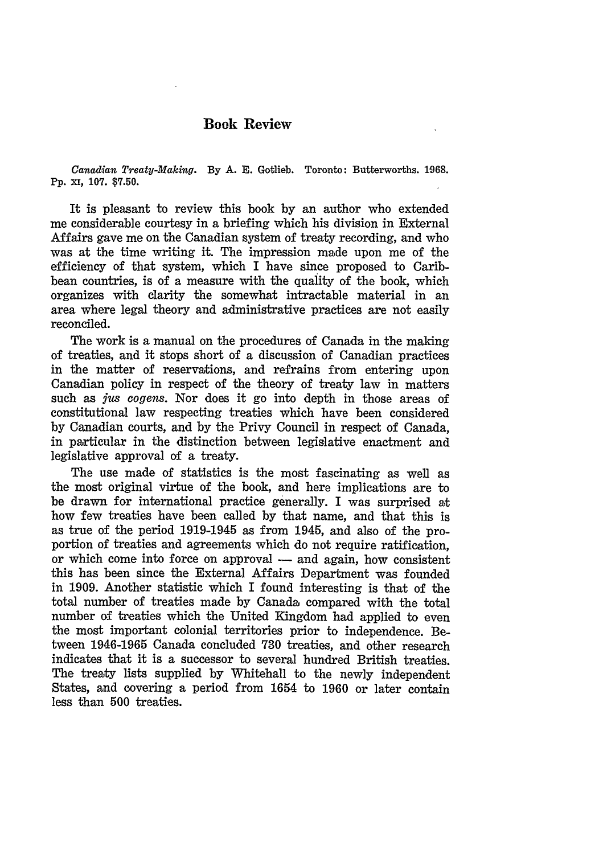## **Book Review**

*Canadian Treaty-Making.* **By** A. **E.** Gotlieb. Toronto: Butterworths. 1968. Pp. xi, 107. **\$7.50.**

It is pleasant to review this book by an author who extended me considerable courtesy in a briefing which his division in External Affairs gave me on the Canadian system of treaty recording, and who was at the time writing it. The impression made upon me of the efficiency of that system, which I have since proposed to Caribbean countries, is of a measure with the quality of the book, which organizes with clarity the somewhat intractable material in an area where legal theory and administrative practices are not easily reconciled.

The work is a manual on the procedures of Canada in the making of treaties, and it stops short of a discussion of Canadian practices in the matter of reservations, and refrains from entering upon Canadian policy in respect of the theory of treaty law in matters such as **jus** cogens. Nor does it go into depth in those areas of constitutional law respecting treaties which have been considered by Canadian courts, and by the Privy Council in respect of Canada, in particular in the distinction between legislative enactment and legislative approval of a treaty.

The use made of statistics is the most fascinating as well as the most original virtue of the book, and here implications are to be drawn for international practice generally. I was surprised at how few treaties have been called by that name, and that this is as true of the period 1919-1945 as from 1945, and also of the proportion of treaties and agreements which do not require ratification, or which come into force on approval — and again, how consistent this has been since the External Affairs Department was founded in 1909. Another statistic which I found interesting is that of the total number of treaties made by Canada compared with the total number of treaties which the United Kingdom had applied to even the most important colonial territories prior to independence. Between 1946-1965 Canada concluded 730 treaties, and other research indicates that it is a successor to several hundred British treaties. The treaty lists supplied by Whitehall to the newly independent States, and covering a period from 1654 to 1960 or later contain less than 500 treaties.